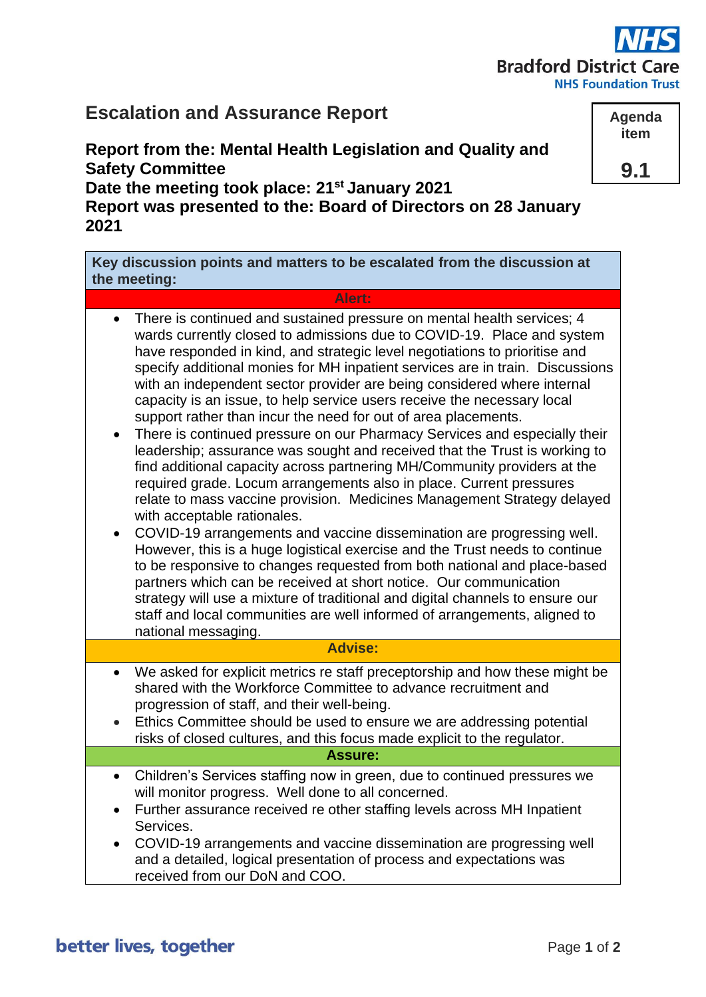# **Bradford District Ca**

**NHS Foundation Trust** 

## **Escalation and Assurance Report**

**Report from the: Mental Health Legislation and Quality and Safety Committee Date the meeting took place: 21st January 2021**

**Report was presented to the: Board of Directors on 28 January 2021**

**Key discussion points and matters to be escalated from the discussion at the meeting:**

### **Alert:**

- There is continued and sustained pressure on mental health services; 4 wards currently closed to admissions due to COVID-19. Place and system have responded in kind, and strategic level negotiations to prioritise and specify additional monies for MH inpatient services are in train. Discussions with an independent sector provider are being considered where internal capacity is an issue, to help service users receive the necessary local support rather than incur the need for out of area placements.
- There is continued pressure on our Pharmacy Services and especially their leadership; assurance was sought and received that the Trust is working to find additional capacity across partnering MH/Community providers at the required grade. Locum arrangements also in place. Current pressures relate to mass vaccine provision. Medicines Management Strategy delayed with acceptable rationales.
- COVID-19 arrangements and vaccine dissemination are progressing well. However, this is a huge logistical exercise and the Trust needs to continue to be responsive to changes requested from both national and place-based partners which can be received at short notice. Our communication strategy will use a mixture of traditional and digital channels to ensure our staff and local communities are well informed of arrangements, aligned to national messaging.

#### **Advise:**

- We asked for explicit metrics re staff preceptorship and how these might be shared with the Workforce Committee to advance recruitment and progression of staff, and their well-being.
- Ethics Committee should be used to ensure we are addressing potential risks of closed cultures, and this focus made explicit to the regulator.

#### **Assure:**

- Children's Services staffing now in green, due to continued pressures we will monitor progress. Well done to all concerned.
- Further assurance received re other staffing levels across MH Inpatient Services.
- COVID-19 arrangements and vaccine dissemination are progressing well and a detailed, logical presentation of process and expectations was received from our DoN and COO.

**Agenda item**

**9.1**